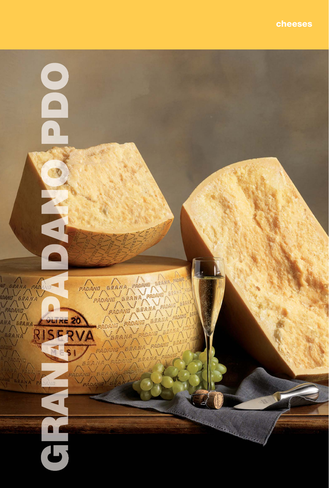